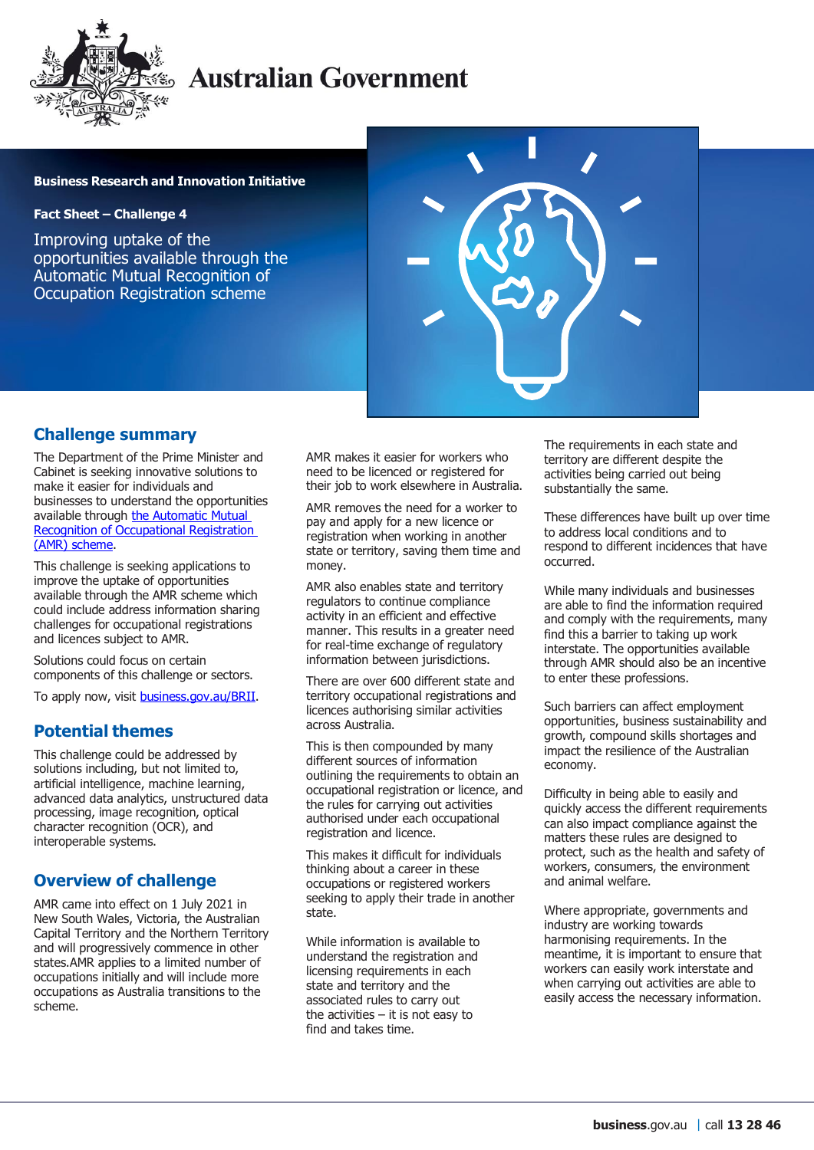

# **Australian Government**

#### **Business Research and Innovation Initiative**

**Fact Sheet – Challenge 4**

Improving uptake of the opportunities available through the Automatic Mutual Recognition of Occupation Registration scheme



#### **Challenge summary**

The Department of the Prime Minister and Cabinet is seeking innovative solutions to make it easier for individuals and businesses to understand the opportunities available through the Automatic Mutual [Recognition of Occupational Registration](https://deregulation.pmc.gov.au/priorities/improving-occupational-mobility)  [\(AMR\) scheme.](https://deregulation.pmc.gov.au/priorities/improving-occupational-mobility)

This challenge is seeking applications to improve the uptake of opportunities available through the AMR scheme which could include address information sharing challenges for occupational registrations and licences subject to AMR.

Solutions could focus on certain components of this challenge or sectors.

To apply now, visit [business.gov.au/BRII.](https://business.gov.au/grants-and-programs/business-research-and-innovation-initiative)

### **Potential themes**

This challenge could be addressed by solutions including, but not limited to, artificial intelligence, machine learning, advanced data analytics, unstructured data processing, image recognition, optical character recognition (OCR), and interoperable systems.

### **Overview of challenge**

AMR came into effect on 1 July 2021 in New South Wales, Victoria, the Australian Capital Territory and the Northern Territory and will progressively commence in other states.AMR applies to a limited number of occupations initially and will include more occupations as Australia transitions to the scheme.

AMR makes it easier for workers who need to be licenced or registered for their job to work elsewhere in Australia.

AMR removes the need for a worker to pay and apply for a new licence or registration when working in another state or territory, saving them time and money.

AMR also enables state and territory regulators to continue compliance activity in an efficient and effective manner. This results in a greater need for real-time exchange of regulatory information between jurisdictions.

There are over 600 different state and territory occupational registrations and licences authorising similar activities across Australia.

This is then compounded by many different sources of information outlining the requirements to obtain an occupational registration or licence, and the rules for carrying out activities authorised under each occupational registration and licence.

This makes it difficult for individuals thinking about a career in these occupations or registered workers seeking to apply their trade in another state.

While information is available to understand the registration and licensing requirements in each state and territory and the associated rules to carry out the activities  $-$  it is not easy to find and takes time.

The requirements in each state and territory are different despite the activities being carried out being substantially the same.

These differences have built up over time to address local conditions and to respond to different incidences that have occurred.

While many individuals and businesses are able to find the information required and comply with the requirements, many find this a barrier to taking up work interstate. The opportunities available through AMR should also be an incentive to enter these professions.

Such barriers can affect employment opportunities, business sustainability and growth, compound skills shortages and impact the resilience of the Australian economy.

Difficulty in being able to easily and quickly access the different requirements can also impact compliance against the matters these rules are designed to protect, such as the health and safety of workers, consumers, the environment and animal welfare.

Where appropriate, governments and industry are working towards harmonising requirements. In the meantime, it is important to ensure that workers can easily work interstate and when carrying out activities are able to easily access the necessary information.